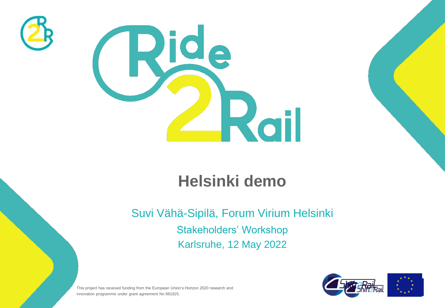



## **Helsinki demo**

Suvi Vähä-Sipilä, Forum Virium Helsinki Stakeholders' Workshop Karlsruhe, 12 May 2022



This project has received funding from the European Union's Horizon 2020 research and innovation programme under grant agreement No 881825.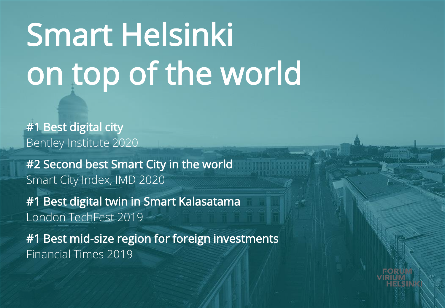## Smart Helsinki on top of the world

#1 Best digital city Bentley Institute 2020

#2 Second best Smart City in the world Smart City Index, IMD 2020

#1 Best digital twin in Smart Kalasatama London TechFest 2019

#1 Best mid-size region for foreign investments Financial Times 2019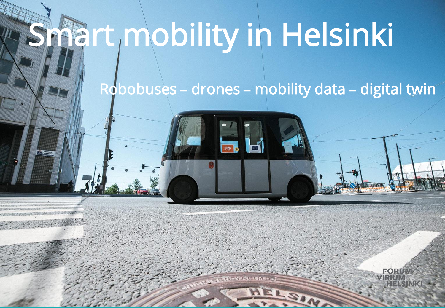## Smart mobility in Helsinki

Robobuses **–** drones **–** mobility data **–** digital twin

EORI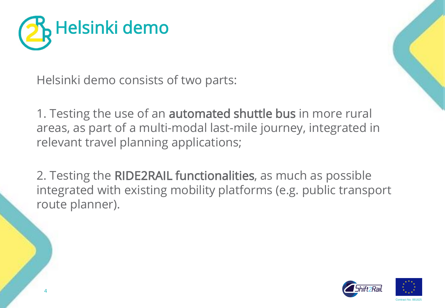

Helsinki demo consists of two parts:

1. Testing the use of an **automated shuttle bus** in more rural areas, as part of a multi-modal last-mile journey, integrated in relevant travel planning applications;

2. Testing the RIDE2RAIL functionalities, as much as possible integrated with existing mobility platforms (e.g. public transport route planner).



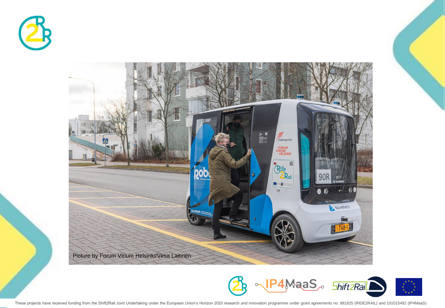